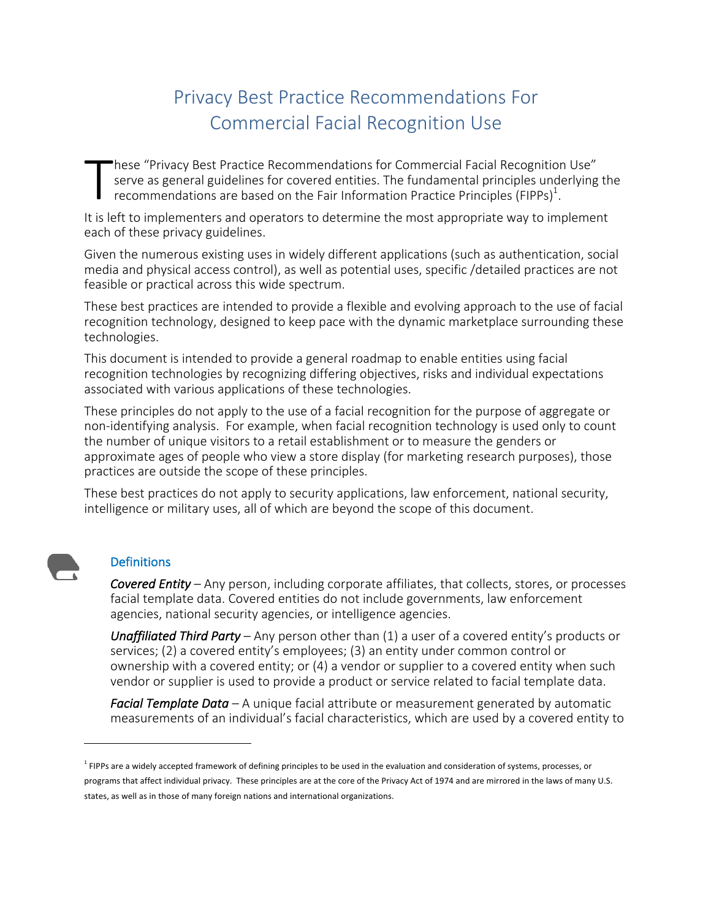# Privacy Best Practice Recommendations For Commercial Facial Recognition Use

hese "Privacy Best Practice Recommendations for Commercial Facial Recognition Use" serve as general guidelines for covered entities. The fundamental principles underlying the recommendations are based on the Fair Information Practice Principles (FIPPs)<sup>1</sup>. T

It is left to implementers and operators to determine the most appropriate way to implement each of these privacy guidelines.

Given the numerous existing uses in widely different applications (such as authentication, social media and physical access control), as well as potential uses, specific /detailed practices are not feasible or practical across this wide spectrum.

These best practices are intended to provide a flexible and evolving approach to the use of facial recognition technology, designed to keep pace with the dynamic marketplace surrounding these technologies. 

This document is intended to provide a general roadmap to enable entities using facial recognition technologies by recognizing differing objectives, risks and individual expectations associated with various applications of these technologies.

These principles do not apply to the use of a facial recognition for the purpose of aggregate or non-identifying analysis. For example, when facial recognition technology is used only to count the number of unique visitors to a retail establishment or to measure the genders or approximate ages of people who view a store display (for marketing research purposes), those practices are outside the scope of these principles.

These best practices do not apply to security applications, law enforcement, national security, intelligence or military uses, all of which are beyond the scope of this document.

### **Definitions**

 

*Covered Entity* – Any person, including corporate affiliates, that collects, stores, or processes facial template data. Covered entities do not include governments, law enforcement agencies, national security agencies, or intelligence agencies.

*Unaffiliated Third Party* – Any person other than (1) a user of a covered entity's products or services; (2) a covered entity's employees; (3) an entity under common control or ownership with a covered entity; or (4) a vendor or supplier to a covered entity when such vendor or supplier is used to provide a product or service related to facial template data.

*Facial Template Data* – A unique facial attribute or measurement generated by automatic measurements of an individual's facial characteristics, which are used by a covered entity to

<sup>&</sup>lt;sup>1</sup> FIPPs are a widely accepted framework of defining principles to be used in the evaluation and consideration of systems, processes, or programs that affect individual privacy. These principles are at the core of the Privacy Act of 1974 and are mirrored in the laws of many U.S. states, as well as in those of many foreign nations and international organizations.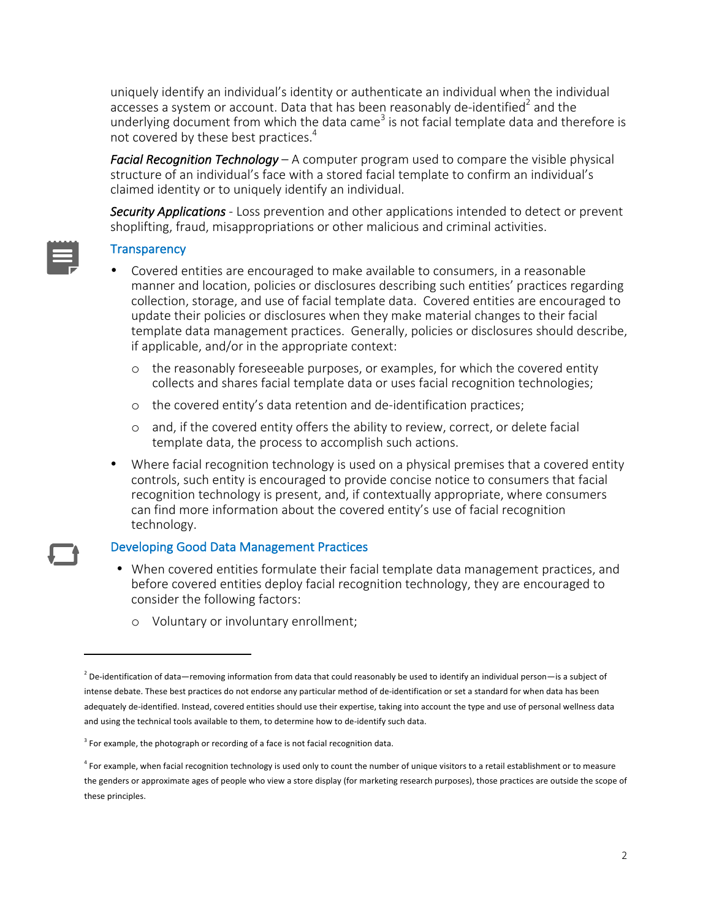uniquely identify an individual's identity or authenticate an individual when the individual accesses a system or account. Data that has been reasonably de-identified<sup>2</sup> and the underlying document from which the data came<sup>3</sup> is not facial template data and therefore is not covered by these best practices.<sup>4</sup>

*Facial Recognition Technology* – A computer program used to compare the visible physical structure of an individual's face with a stored facial template to confirm an individual's claimed identity or to uniquely identify an individual.

**Security Applications** - Loss prevention and other applications intended to detect or prevent shoplifting, fraud, misappropriations or other malicious and criminal activities.

### **Transparency**

- Covered entities are encouraged to make available to consumers, in a reasonable manner and location, policies or disclosures describing such entities' practices regarding collection, storage, and use of facial template data. Covered entities are encouraged to update their policies or disclosures when they make material changes to their facial template data management practices. Generally, policies or disclosures should describe, if applicable, and/or in the appropriate context:
	- $\circ$  the reasonably foreseeable purposes, or examples, for which the covered entity collects and shares facial template data or uses facial recognition technologies;
	- o the covered entity's data retention and de-identification practices;
	- o and, if the covered entity offers the ability to review, correct, or delete facial template data, the process to accomplish such actions.
- Where facial recognition technology is used on a physical premises that a covered entity controls, such entity is encouraged to provide concise notice to consumers that facial recognition technology is present, and, if contextually appropriate, where consumers can find more information about the covered entity's use of facial recognition technology.

#### Developing Good Data Management Practices

- When covered entities formulate their facial template data management practices, and before covered entities deploy facial recognition technology, they are encouraged to consider the following factors:
	- o Voluntary or involuntary enrollment;

 

 $^2$  De-identification of data—removing information from data that could reasonably be used to identify an individual person—is a subject of intense debate. These best practices do not endorse any particular method of de-identification or set a standard for when data has been adequately de-identified. Instead, covered entities should use their expertise, taking into account the type and use of personal wellness data and using the technical tools available to them, to determine how to de-identify such data.

 $3$  For example, the photograph or recording of a face is not facial recognition data.

 $4$  For example, when facial recognition technology is used only to count the number of unique visitors to a retail establishment or to measure the genders or approximate ages of people who view a store display (for marketing research purposes), those practices are outside the scope of these principles.